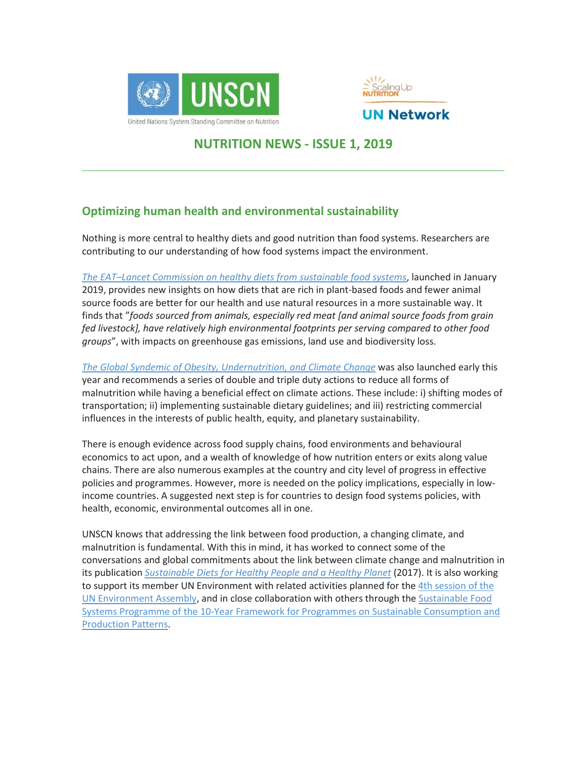



# **NUTRITION NEWS - ISSUE 1, 2019**

## **Optimizing human health and environmental sustainability**

Nothing is more central to healthy diets and good nutrition than food systems. Researchers are contributing to our understanding of how food systems impact the environment.

*The EAT–Lancet [Commission](https://eatforum.org/eat-lancet-commission/?ct=t(C2025_newsletter12_03152017_DO_NOT_DELET3_15_2017_)) on healthy diets from sustainable food systems*, launched in January 2019, provides new insights on how diets that are rich in plant-based foods and fewer animal source foods are better for our health and use natural resources in a more sustainable way. It finds that "*foods sourced from animals, especially red meat [and animal source foods from grain fed livestock], have relatively high environmental footprints per serving compared to other food groups*", with impacts on greenhouse gas emissions, land use and biodiversity loss.

*The Global Syndemic of Obesity, [Undernutrition,](https://www.thelancet.com/commissions/global-syndemic) and Climate Change* was also launched early this year and recommends a series of double and triple duty actions to reduce all forms of malnutrition while having a beneficial effect on climate actions. These include: i) shifting modes of transportation; ii) implementing sustainable dietary guidelines; and iii) restricting commercial influences in the interests of public health, equity, and planetary sustainability.

There is enough evidence across food supply chains, food environments and behavioural economics to act upon, and a wealth of knowledge of how nutrition enters or exits along value chains. There are also numerous examples at the country and city level of progress in effective policies and programmes. However, more is needed on the policy implications, especially in lowincome countries. A suggested next step is for countries to design food systems policies, with health, economic, environmental outcomes all in one.

UNSCN knows that addressing the link between food production, a changing climate, and malnutrition is fundamental. With this in mind, it has worked to connect some of the conversations and global commitments about the link between climate change and malnutrition in its publication *[Sustainable](https://www.unscn.org/en/resource-center/UNSCN-Publications?idnews=1739) Diets for Healthy People and a Healthy Planet* (2017). It is also working to support its member UN Environment with related activities planned for the 4th [session](http://web.unep.org/environmentassembly/) of the UN [Environment](http://web.unep.org/environmentassembly/) Assembly, and in close collaboration with others through the [Sustainable](http://www.scpclearinghouse.org/sustainable-food-system/about) Food Systems Programme of the 10-Year Framework for Programmes on Sustainable [Consumption](http://www.scpclearinghouse.org/sustainable-food-system/about) and [Production](http://www.scpclearinghouse.org/sustainable-food-system/about) Patterns.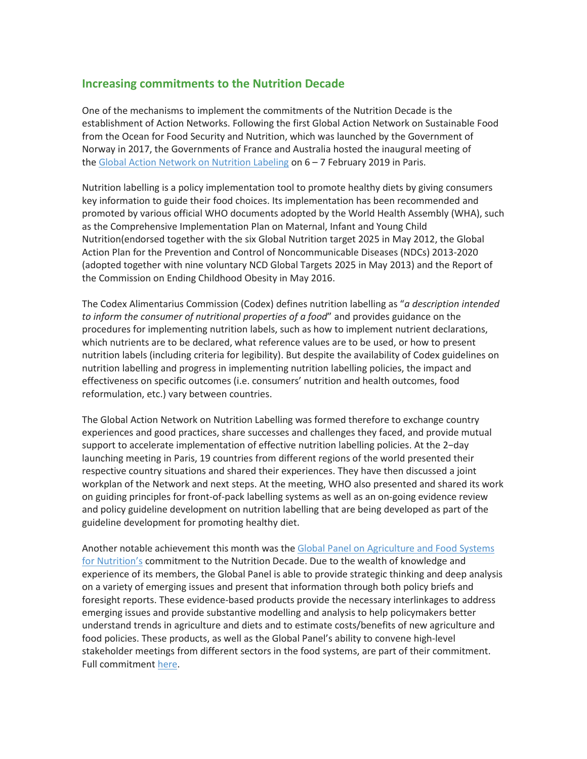### **Increasing commitments to the Nutrition Decade**

One of the mechanisms to implement the commitments of the Nutrition Decade is the establishment of Action Networks. Following the first Global Action Network on Sustainable Food from the Ocean for Food Security and Nutrition, which was launched by the Government of Norway in 2017, the Governments of France and Australia hosted the inaugural meeting of the Global Action Network on [Nutrition](https://solidarites-sante.gouv.fr/ministere/europe-et-international/actualites-europeennes-et-internationales/article/france-and-australia-announce-the-launch-of-a-global-action-network-on) Labeling on 6 – 7 February 2019 in Paris.

Nutrition labelling is a policy implementation tool to promote healthy diets by giving consumers key information to guide their food choices. Its implementation has been recommended and promoted by various official WHO documents adopted by the World Health Assembly (WHA), such as the Comprehensive Implementation Plan on Maternal, Infant and Young Child Nutrition(endorsed together with the six Global Nutrition target 2025 in May 2012, the Global Action Plan for the Prevention and Control of Noncommunicable Diseases (NDCs) 2013-2020 (adopted together with nine voluntary NCD Global Targets 2025 in May 2013) and the Report of the Commission on Ending Childhood Obesity in May 2016.

The Codex Alimentarius Commission (Codex) defines nutrition labelling as "*a description intended to inform the consumer of nutritional properties of a food*" and provides guidance on the procedures for implementing nutrition labels, such as how to implement nutrient declarations, which nutrients are to be declared, what reference values are to be used, or how to present nutrition labels (including criteria for legibility). But despite the availability of Codex guidelines on nutrition labelling and progress in implementing nutrition labelling policies, the impact and effectiveness on specific outcomes (i.e. consumers' nutrition and health outcomes, food reformulation, etc.) vary between countries.

The Global Action Network on Nutrition Labelling was formed therefore to exchange country experiences and good practices, share successes and challenges they faced, and provide mutual support to accelerate implementation of effective nutrition labelling policies. At the 2−day launching meeting in Paris, 19 countries from different regions of the world presented their respective country situations and shared their experiences. They have then discussed a joint workplan of the Network and next steps. At the meeting, WHO also presented and shared its work on guiding principles for front-of-pack labelling systems as well as an on-going evidence review and policy guideline development on nutrition labelling that are being developed as part of the guideline development for promoting healthy diet.

Another notable achievement this month was the Global Panel on [Agriculture](http://www.glopan.org/) and Food Systems for [Nutrition's](http://www.glopan.org/) commitment to the Nutrition Decade. Due to the wealth of knowledge and experience of its members, the Global Panel is able to provide strategic thinking and deep analysis on a variety of emerging issues and present that information through both policy briefs and foresight reports. These evidence-based products provide the necessary interlinkages to address emerging issues and provide substantive modelling and analysis to help policymakers better understand trends in agriculture and diets and to estimate costs/benefits of new agriculture and food policies. These products, as well as the Global Panel's ability to convene high-level stakeholder meetings from different sectors in the food systems, are part of their commitment. Full commitment [here.](https://www.unscn.org/en/topics/un-decade-of-action-on-nutrition?idnews=1914)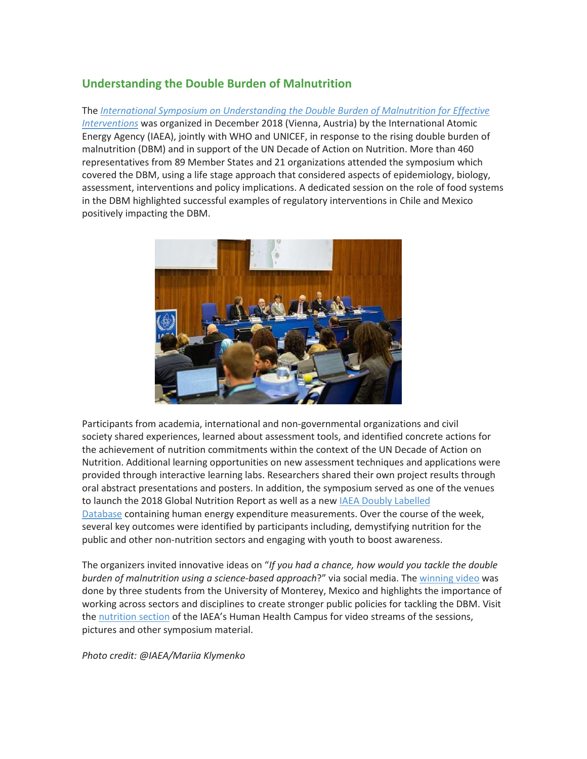## **Understanding the Double Burden of Malnutrition**

The *International Symposium on [Understanding](https://www.iaea.org/events/understanding-the-double-burden-of-malnutrition-symposium-2018/news) the Double Burden of Malnutrition for Effective [Interventions](https://www.iaea.org/events/understanding-the-double-burden-of-malnutrition-symposium-2018/news)* was organized in December 2018 (Vienna, Austria) by the International Atomic Energy Agency (IAEA), jointly with WHO and UNICEF, in response to the rising double burden of malnutrition (DBM) and in support of the UN Decade of Action on Nutrition. More than 460 representatives from 89 Member States and 21 organizations attended the symposium which covered the DBM, using a life stage approach that considered aspects of epidemiology, biology, assessment, interventions and policy implications. A dedicated session on the role of food systems in the DBM highlighted successful examples of regulatory interventions in Chile and Mexico positively impacting the DBM.



Participants from academia, international and non-governmental organizations and civil society shared experiences, learned about assessment tools, and identified concrete actions for the achievement of nutrition commitments within the context of the UN Decade of Action on Nutrition. Additional learning opportunities on new assessment techniques and applications were provided through interactive learning labs. Researchers shared their own project results through oral abstract presentations and posters. In addition, the symposium served as one of the venues to launch the 2018 Global Nutrition Report as well as a new IAEA Doubly [Labelled](https://www.iaea.org/newscenter/pressreleases/new-iaea-database-to-help-countries-tackle-growing-obesity-crisis) [Database](https://www.iaea.org/newscenter/pressreleases/new-iaea-database-to-help-countries-tackle-growing-obesity-crisis) containing human energy expenditure measurements. Over the course of the week, several key outcomes were identified by participants including, demystifying nutrition for the public and other non-nutrition sectors and engaging with youth to boost awareness.

The organizers invited innovative ideas on "*If you had a chance, how would you tackle the double burden of malnutrition using a science-based approach*?" via social media. The [winning](https://www.youtube.com/watch?v=lBoTm330TBU) video was done by three students from the University of Monterey, Mexico and highlights the importance of working across sectors and disciplines to create stronger public policies for tackling the DBM. Visit the [nutrition](https://humanhealth.iaea.org/HHW/Nutrition/Symposium2018/index.html) section of the IAEA's Human Health Campus for video streams of the sessions, pictures and other symposium material.

*Photo credit: @IAEA/Mariia Klymenko*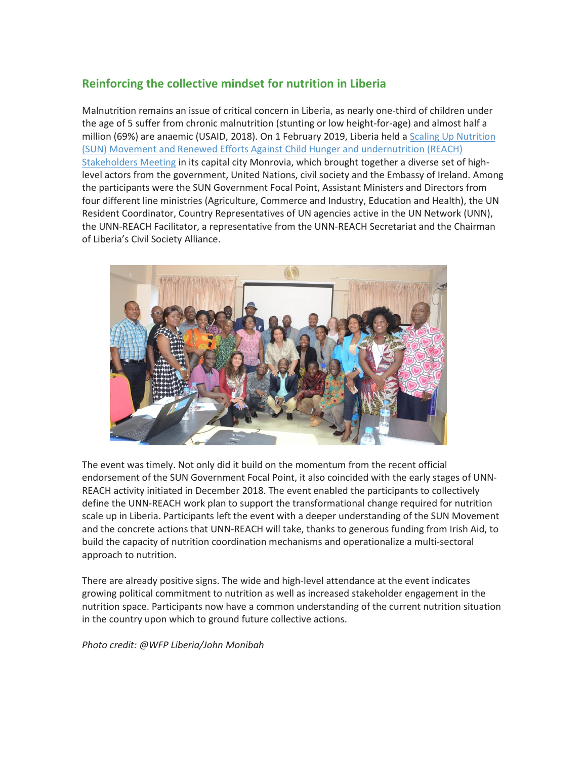## **Reinforcing the collective mindset for nutrition in Liberia**

Malnutrition remains an issue of critical concern in Liberia, as nearly one-third of children under the age of 5 suffer from chronic malnutrition (stunting or low height-for-age) and almost half a million (69%) are anaemic (USAID, 2018). On 1 February 2019, Liberia held a Scaling Up [Nutrition](https://frontpageafricaonline.com/news/government-of-liberia-un-agencies-hold-multi-stakeholders-reach-and-sun-orientation-meeting/) (SUN) Movement and Renewed Efforts Against Child Hunger and [undernutrition](https://frontpageafricaonline.com/news/government-of-liberia-un-agencies-hold-multi-stakeholders-reach-and-sun-orientation-meeting/) (REACH) [Stakeholders](https://frontpageafricaonline.com/news/government-of-liberia-un-agencies-hold-multi-stakeholders-reach-and-sun-orientation-meeting/) Meeting in its capital city Monrovia, which brought together a diverse set of highlevel actors from the government, United Nations, civil society and the Embassy of Ireland. Among the participants were the SUN Government Focal Point, Assistant Ministers and Directors from four different line ministries (Agriculture, Commerce and Industry, Education and Health), the UN Resident Coordinator, Country Representatives of UN agencies active in the UN Network (UNN), the UNN-REACH Facilitator, a representative from the UNN-REACH Secretariat and the Chairman of Liberia's Civil Society Alliance.



The event was timely. Not only did it build on the momentum from the recent official endorsement of the SUN Government Focal Point, it also coincided with the early stages of UNN-REACH activity initiated in December 2018. The event enabled the participants to collectively define the UNN-REACH work plan to support the transformational change required for nutrition scale up in Liberia. Participants left the event with a deeper understanding of the SUN Movement and the concrete actions that UNN-REACH will take, thanks to generous funding from Irish Aid, to build the capacity of nutrition coordination mechanisms and operationalize a multi-sectoral approach to nutrition.

There are already positive signs. The wide and high-level attendance at the event indicates growing political commitment to nutrition as well as increased stakeholder engagement in the nutrition space. Participants now have a common understanding of the current nutrition situation in the country upon which to ground future collective actions.

*Photo credit: @WFP Liberia/John Monibah*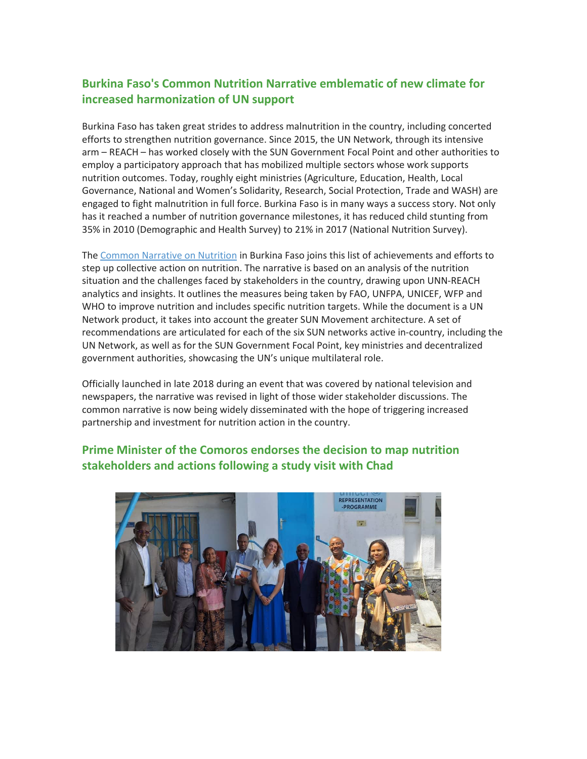## **Burkina Faso's Common Nutrition Narrative emblematic of new climate for increased harmonization of UN support**

Burkina Faso has taken great strides to address malnutrition in the country, including concerted efforts to strengthen nutrition governance. Since 2015, the UN Network, through its intensive arm – REACH – has worked closely with the SUN Government Focal Point and other authorities to employ a participatory approach that has mobilized multiple sectors whose work supports nutrition outcomes. Today, roughly eight ministries (Agriculture, Education, Health, Local Governance, National and Women's Solidarity, Research, Social Protection, Trade and WASH) are engaged to fight malnutrition in full force. Burkina Faso is in many ways a success story. Not only has it reached a number of nutrition governance milestones, it has reduced child stunting from 35% in 2010 (Demographic and Health Survey) to 21% in 2017 (National Nutrition Survey).

The Common [Narrative](https://www.unnetworkforsun.org/sites/default/files/documents/files/Common%20UNN%20Narrative-Burkina%20Faso-4Dec2018.pdf) on Nutrition in Burkina Faso joins this list of achievements and efforts to step up collective action on nutrition. The narrative is based on an analysis of the nutrition situation and the challenges faced by stakeholders in the country, drawing upon UNN-REACH analytics and insights. It outlines the measures being taken by FAO, UNFPA, UNICEF, WFP and WHO to improve nutrition and includes specific nutrition targets. While the document is a UN Network product, it takes into account the greater SUN Movement architecture. A set of recommendations are articulated for each of the six SUN networks active in-country, including the UN Network, as well as for the SUN Government Focal Point, key ministries and decentralized government authorities, showcasing the UN's unique multilateral role.

Officially launched in late 2018 during an event that was covered by national television and newspapers, the narrative was revised in light of those wider stakeholder discussions. The common narrative is now being widely disseminated with the hope of triggering increased partnership and investment for nutrition action in the country.

## **Prime Minister of the Comoros endorses the decision to map nutrition stakeholders and actions following a study visit with Chad**

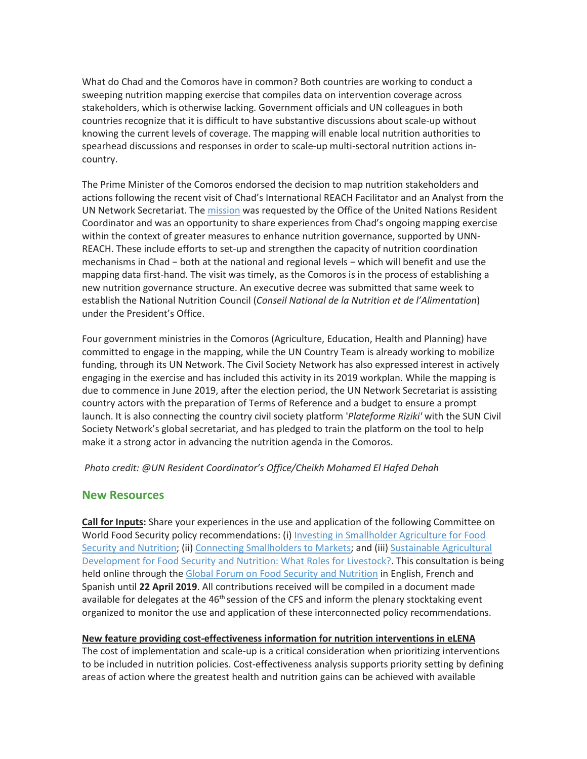What do Chad and the Comoros have in common? Both countries are working to conduct a sweeping nutrition mapping exercise that compiles data on intervention coverage across stakeholders, which is otherwise lacking. Government officials and UN colleagues in both countries recognize that it is difficult to have substantive discussions about scale-up without knowing the current levels of coverage. The mapping will enable local nutrition authorities to spearhead discussions and responses in order to scale-up multi-sectoral nutrition actions incountry.

The Prime Minister of the Comoros endorsed the decision to map nutrition stakeholders and actions following the recent visit of Chad's International REACH Facilitator and an Analyst from the UN Network Secretariat. The [mission](https://www.facebook.com/note.php?note_id=1116377948563725) was requested by the Office of the United Nations Resident Coordinator and was an opportunity to share experiences from Chad's ongoing mapping exercise within the context of greater measures to enhance nutrition governance, supported by UNN-REACH. These include efforts to set-up and strengthen the capacity of nutrition coordination mechanisms in Chad − both at the national and regional levels − which will benefit and use the mapping data first-hand. The visit was timely, as the Comoros is in the process of establishing a new nutrition governance structure. An executive decree was submitted that same week to establish the National Nutrition Council (*Conseil National de la Nutrition et de l'Alimentation*) under the President's Office.

Four government ministries in the Comoros (Agriculture, Education, Health and Planning) have committed to engage in the mapping, while the UN Country Team is already working to mobilize funding, through its UN Network. The Civil Society Network has also expressed interest in actively engaging in the exercise and has included this activity in its 2019 workplan. While the mapping is due to commence in June 2019, after the election period, the UN Network Secretariat is assisting country actors with the preparation of Terms of Reference and a budget to ensure a prompt launch. It is also connecting the country civil society platform '*Plateforme Riziki'* with the SUN Civil Society Network's global secretariat, and has pledged to train the platform on the tool to help make it a strong actor in advancing the nutrition agenda in the Comoros.

#### *Photo credit: @UN Resident Coordinator's Office/Cheikh Mohamed El Hafed Dehah*

#### **New Resources**

**Call for Inputs:** Share your experiences in the use and application of the following Committee on World Food Security policy recommendations: (i) Investing in [Smallholder](http://www.fao.org/3/a-av034e.pdf) Agriculture for Food Security and [Nutrition;](http://www.fao.org/3/a-av034e.pdf) (ii) Connecting [Smallholders](http://www.fao.org/3/a-bq853e.pdf) to Markets; and (iii) Sustainable [Agricultural](http://www.fao.org/3/a-bq854e.pdf) [Development](http://www.fao.org/3/a-bq854e.pdf) for Food Security and Nutrition: What Roles for Livestock?. This consultation is being held online through the Global Forum on Food Security and [Nutrition](http://www.fao.org/fsnforum/activities/discussions/CFS-smallholders-fsn) in English, French and Spanish until **22 April 2019**. All contributions received will be compiled in a document made available for delegates at the 46<sup>th</sup> session of the CFS and inform the plenary stocktaking event organized to monitor the use and application of these interconnected policy recommendations.

#### **New feature providing cost-effectiveness information for nutrition interventions in eLENA**

The cost of implementation and scale-up is a critical consideration when prioritizing interventions to be included in nutrition policies. Cost-effectiveness analysis supports priority setting by defining areas of action where the greatest health and nutrition gains can be achieved with available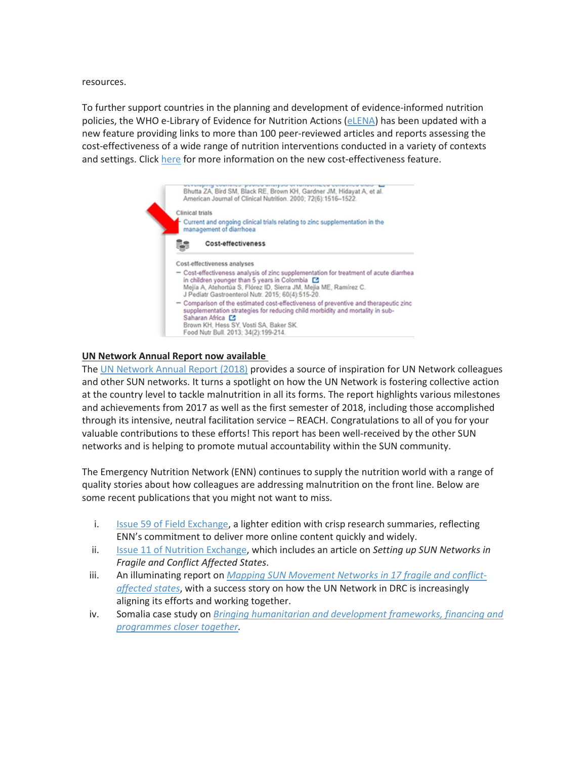resources.

To further support countries in the planning and development of evidence-informed nutrition policies, the WHO e-Library of Evidence for Nutrition Actions [\(eLENA\)](http://www.who.int/elena/) has been updated with a new feature providing links to more than 100 peer-reviewed articles and reports assessing the cost-effectiveness of a wide range of nutrition interventions conducted in a variety of contexts and settings. Click [here](https://www.who.int/elena/cost-effectiveness/en) for more information on the new cost-effectiveness feature.



#### **UN Network Annual Report now available**

The UN [Network](https://emea01.safelinks.protection.outlook.com/?url=https%3A%2F%2Fwww.unnetworkforsun.org%2Fsites%2Fdefault%2Ffiles%2Fdocuments%2Ffiles%2FUN%2520Network%2520Annual%2520Report%252C%25202018%2520%2528Final%2529.pdf&data=02%7C01%7Chollydente.sedutto%40wfp.org%7Cb72aa2cbb24a41d165fe08d68dad3892%7C462ad9aed7d94206b87471b1e079776f%7C0%7C0%7C636852172454915398&sdata=5sOBRuth9n7WQWvS%2BWeSVVxlf4WhD1JQPqD23hQWW5A%3D&reserved=0) Annual Report (2018) provides a source of inspiration for UN Network colleagues and other SUN networks. It turns a spotlight on how the UN Network is fostering collective action at the country level to tackle malnutrition in all its forms. The report highlights various milestones and achievements from 2017 as well as the first semester of 2018, including those accomplished through its intensive, neutral facilitation service – REACH. Congratulations to all of you for your valuable contributions to these efforts! This report has been well-received by the other SUN networks and is helping to promote mutual accountability within the SUN community.

The Emergency Nutrition Network (ENN) continues to supply the nutrition world with a range of quality stories about how colleagues are addressing malnutrition on the front line. Below are some recent publications that you might not want to miss.

- i. Issue 59 of Field [Exchange,](https://www.ennonline.net/fex) a lighter edition with crisp research summaries, reflecting ENN's commitment to deliver more online content quickly and widely.
- ii. Issue 11 of Nutrition [Exchange,](https://www.ennonline.net/nex) which includes an article on *Setting up SUN Networks in Fragile and Conflict Affected States*.
- iii. An illuminating report on *Mapping SUN [Movement](https://www.ennonline.net/mappingsunmovementnetworks) Networks in 17 fragile and conflict[affected](https://www.ennonline.net/mappingsunmovementnetworks) states*, with a success story on how the UN Network in DRC is increasingly aligning its efforts and working together.
- iv. Somalia case study on *Bringing [humanitarian](https://www.ennonline.net/resources/hdnsomalia) and development frameworks, financing and [programmes](https://www.ennonline.net/resources/hdnsomalia) closer together.*